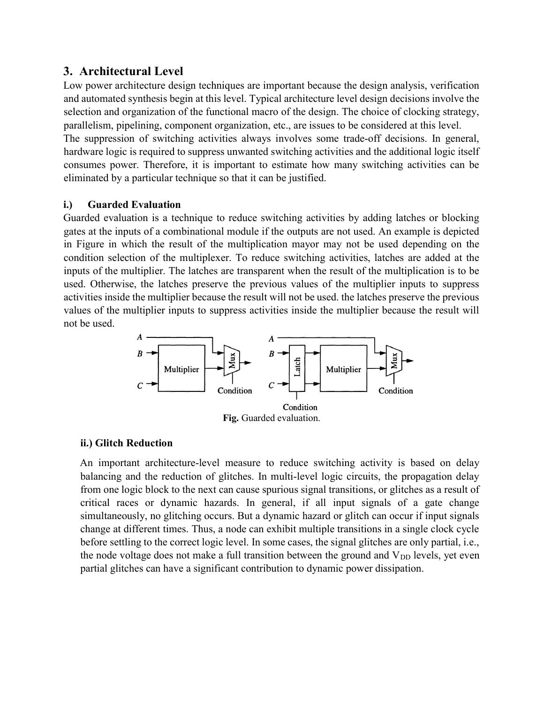# 3. Architectural Level

Low power architecture design techniques are important because the design analysis, verification and automated synthesis begin at this level. Typical architecture level design decisions involve the selection and organization of the functional macro of the design. The choice of clocking strategy, parallelism, pipelining, component organization, etc., are issues to be considered at this level.

The suppression of switching activities always involves some trade-off decisions. In general, hardware logic is required to suppress unwanted switching activities and the additional logic itself consumes power. Therefore, it is important to estimate how many switching activities can be eliminated by a particular technique so that it can be justified.

## i.) Guarded Evaluation

Guarded evaluation is a technique to reduce switching activities by adding latches or blocking gates at the inputs of a combinational module if the outputs are not used. An example is depicted in Figure in which the result of the multiplication mayor may not be used depending on the condition selection of the multiplexer. To reduce switching activities, latches are added at the inputs of the multiplier. The latches are transparent when the result of the multiplication is to be used. Otherwise, the latches preserve the previous values of the multiplier inputs to suppress activities inside the multiplier because the result will not be used. the latches preserve the previous values of the multiplier inputs to suppress activities inside the multiplier because the result will not be used.



### ii.) Glitch Reduction

An important architecture-level measure to reduce switching activity is based on delay balancing and the reduction of glitches. In multi-level logic circuits, the propagation delay from one logic block to the next can cause spurious signal transitions, or glitches as a result of critical races or dynamic hazards. In general, if all input signals of a gate change simultaneously, no glitching occurs. But a dynamic hazard or glitch can occur if input signals change at different times. Thus, a node can exhibit multiple transitions in a single clock cycle before settling to the correct logic level. In some cases, the signal glitches are only partial, i.e., the node voltage does not make a full transition between the ground and  $V_{DD}$  levels, yet even partial glitches can have a significant contribution to dynamic power dissipation.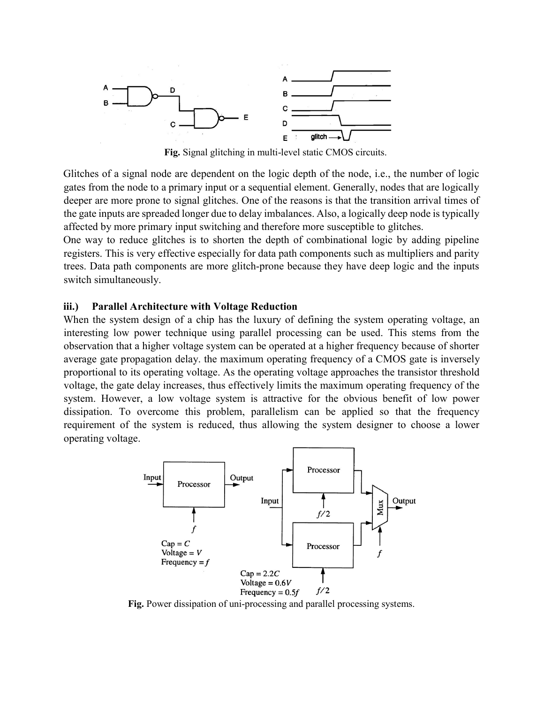

Fig. Signal glitching in multi-level static CMOS circuits.

Glitches of a signal node are dependent on the logic depth of the node, i.e., the number of logic gates from the node to a primary input or a sequential element. Generally, nodes that are logically deeper are more prone to signal glitches. One of the reasons is that the transition arrival times of the gate inputs are spreaded longer due to delay imbalances. Also, a logically deep node is typically affected by more primary input switching and therefore more susceptible to glitches.

One way to reduce glitches is to shorten the depth of combinational logic by adding pipeline registers. This is very effective especially for data path components such as multipliers and parity trees. Data path components are more glitch-prone because they have deep logic and the inputs switch simultaneously.

#### iii.) Parallel Architecture with Voltage Reduction

When the system design of a chip has the luxury of defining the system operating voltage, an interesting low power technique using parallel processing can be used. This stems from the observation that a higher voltage system can be operated at a higher frequency because of shorter average gate propagation delay. the maximum operating frequency of a CMOS gate is inversely proportional to its operating voltage. As the operating voltage approaches the transistor threshold voltage, the gate delay increases, thus effectively limits the maximum operating frequency of the system. However, a low voltage system is attractive for the obvious benefit of low power dissipation. To overcome this problem, parallelism can be applied so that the frequency requirement of the system is reduced, thus allowing the system designer to choose a lower operating voltage.



Fig. Power dissipation of uni-processing and parallel processing systems.